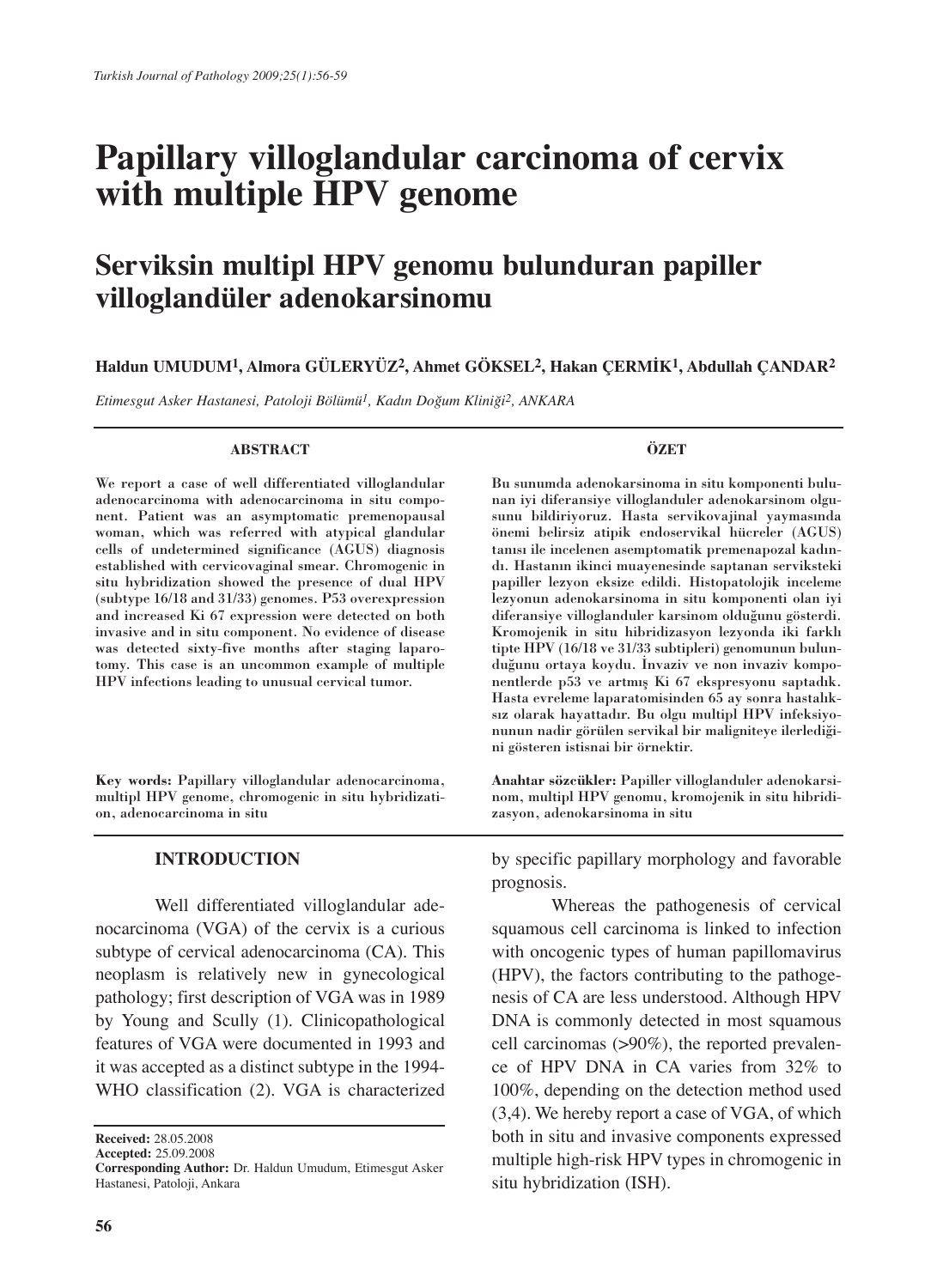# **Papillary villoglandular carcinoma of cervix with multiple HPV genome**

## **Serviksin multipl HPV genomu bulunduran papiller villoglandüler adenokarsinomu**

#### **Haldun UMUDUM1, Almora GÜLERYÜZ2, Ahmet GÖKSEL2, Hakan ÇERMİK1, Abdullah ÇANDAR2**

*Etimesgut Asker Hastanesi, Patoloji Bölümü1, Kadın Doğum Kliniği2, ANKARA*

#### **ABSTRACT**

We report a case of well differentiated villoglandular adenocarcinoma with adenocarcinoma in situ component. Patient was an asymptomatic premenopausal woman, which was referred with atypical glandular cells of undetermined significance (AGUS) diagnosis established with cervicovaginal smear. Chromogenic in situ hybridization showed the presence of dual HPV (subtype 16/18 and 31/33) genomes. P53 overexpression and increased Ki 67 expression were detected on both invasive and in situ component. No evidence of disease was detected sixty-five months after staging laparotomy. This case is an uncommon example of multiple HPV infections leading to unusual cervical tumor.

**Key words:** Papillary villoglandular adenocarcinoma, multipl HPV genome, chromogenic in situ hybridization, adenocarcinoma in situ

#### **INTRODUCTION**

Well differentiated villoglandular adenocarcinoma (VGA) of the cervix is a curious subtype of cervical adenocarcinoma (CA). This neoplasm is relatively new in gynecological pathology; first description of VGA was in 1989 by Young and Scully (1). Clinicopathological features of VGA were documented in 1993 and it was accepted as a distinct subtype in the 1994- WHO classification (2). VGA is characterized

**Received:** 28.05.2008

**Accepted:** 25.09.2008

#### **ÖZET**

Bu sunumda adenokarsinoma in situ komponenti bulunan iyi diferansiye villoglanduler adenokarsinom olgusunu bildiriyoruz. Hasta servikovajinal yaymasında önemi belirsiz atipik endoservikal hücreler (AGUS) tanısı ile incelenen asemptomatik premenapozal kadındı. Hastanın ikinci muayenesinde saptanan serviksteki papiller lezyon eksize edildi. Histopatolojik inceleme lezyonun adenokarsinoma in situ komponenti olan iyi diferansiye villoglanduler karsinom olduğunu gösterdi. Kromojenik in situ hibridizasyon lezyonda iki farklı tipte HPV (16/18 ve 31/33 subtipleri) genomunun bulunduğunu ortaya koydu. İnvaziv ve non invaziv komponentlerde p53 ve artmış Ki 67 ekspresyonu saptadık. Hasta evreleme laparatomisinden 65 ay sonra hastalıksız olarak hayattadır. Bu olgu multipl HPV infeksiyonunun nadir görülen servikal bir maligniteye ilerlediğini gösteren istisnai bir örnektir.

**Anahtar sözcükler:** Papiller villoglanduler adenokarsinom, multipl HPV genomu, kromojenik in situ hibridizasyon, adenokarsinoma in situ

by specific papillary morphology and favorable prognosis.

Whereas the pathogenesis of cervical squamous cell carcinoma is linked to infection with oncogenic types of human papillomavirus (HPV), the factors contributing to the pathogenesis of CA are less understood. Although HPV DNA is commonly detected in most squamous cell carcinomas (>90%), the reported prevalence of HPV DNA in CA varies from 32% to 100%, depending on the detection method used (3,4). We hereby report a case of VGA, of which both in situ and invasive components expressed multiple high-risk HPV types in chromogenic in situ hybridization (ISH).

**Corresponding Author:** Dr. Haldun Umudum, Etimesgut Asker Hastanesi, Patoloji, Ankara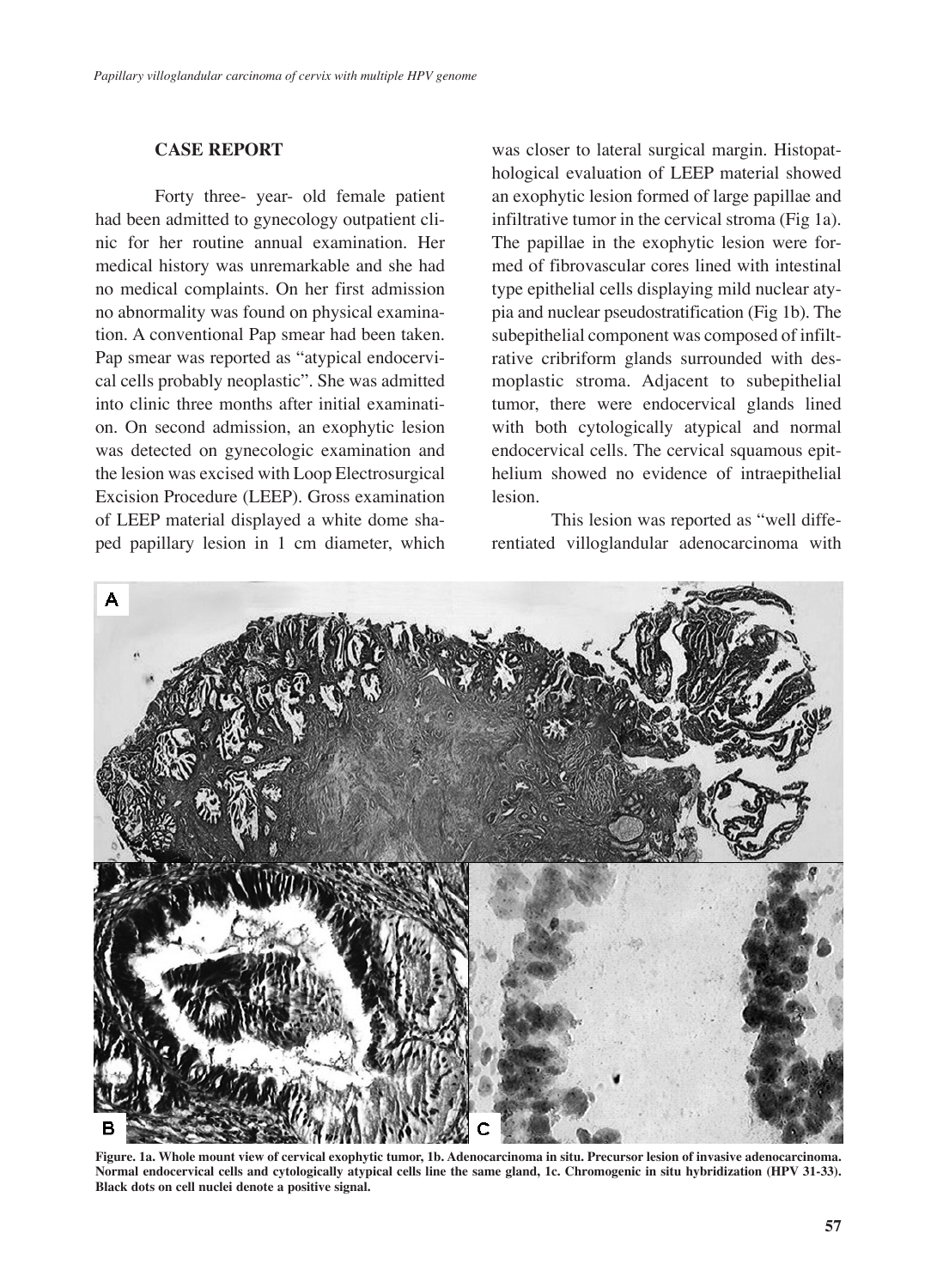#### **CASE REPORT**

Forty three- year- old female patient had been admitted to gynecology outpatient clinic for her routine annual examination. Her medical history was unremarkable and she had no medical complaints. On her first admission no abnormality was found on physical examination. A conventional Pap smear had been taken. Pap smear was reported as "atypical endocervical cells probably neoplastic". She was admitted into clinic three months after initial examination. On second admission, an exophytic lesion was detected on gynecologic examination and the lesion was excised with Loop Electrosurgical Excision Procedure (LEEP). Gross examination of LEEP material displayed a white dome shaped papillary lesion in 1 cm diameter, which was closer to lateral surgical margin. Histopathological evaluation of LEEP material showed an exophytic lesion formed of large papillae and infiltrative tumor in the cervical stroma (Fig 1a). The papillae in the exophytic lesion were formed of fibrovascular cores lined with intestinal type epithelial cells displaying mild nuclear atypia and nuclear pseudostratification (Fig 1b). The subepithelial component was composed of infiltrative cribriform glands surrounded with desmoplastic stroma. Adjacent to subepithelial tumor, there were endocervical glands lined with both cytologically atypical and normal endocervical cells. The cervical squamous epithelium showed no evidence of intraepithelial lesion.

This lesion was reported as "well differentiated villoglandular adenocarcinoma with



**Figure. 1a. Whole mount view of cervical exophytic tumor, 1b. Adenocarcinoma in situ. Precursor lesion of invasive adenocarcinoma. Normal endocervical cells and cytologically atypical cells line the same gland, 1c. Chromogenic in situ hybridization (HPV 31-33). Black dots on cell nuclei denote a positive signal.**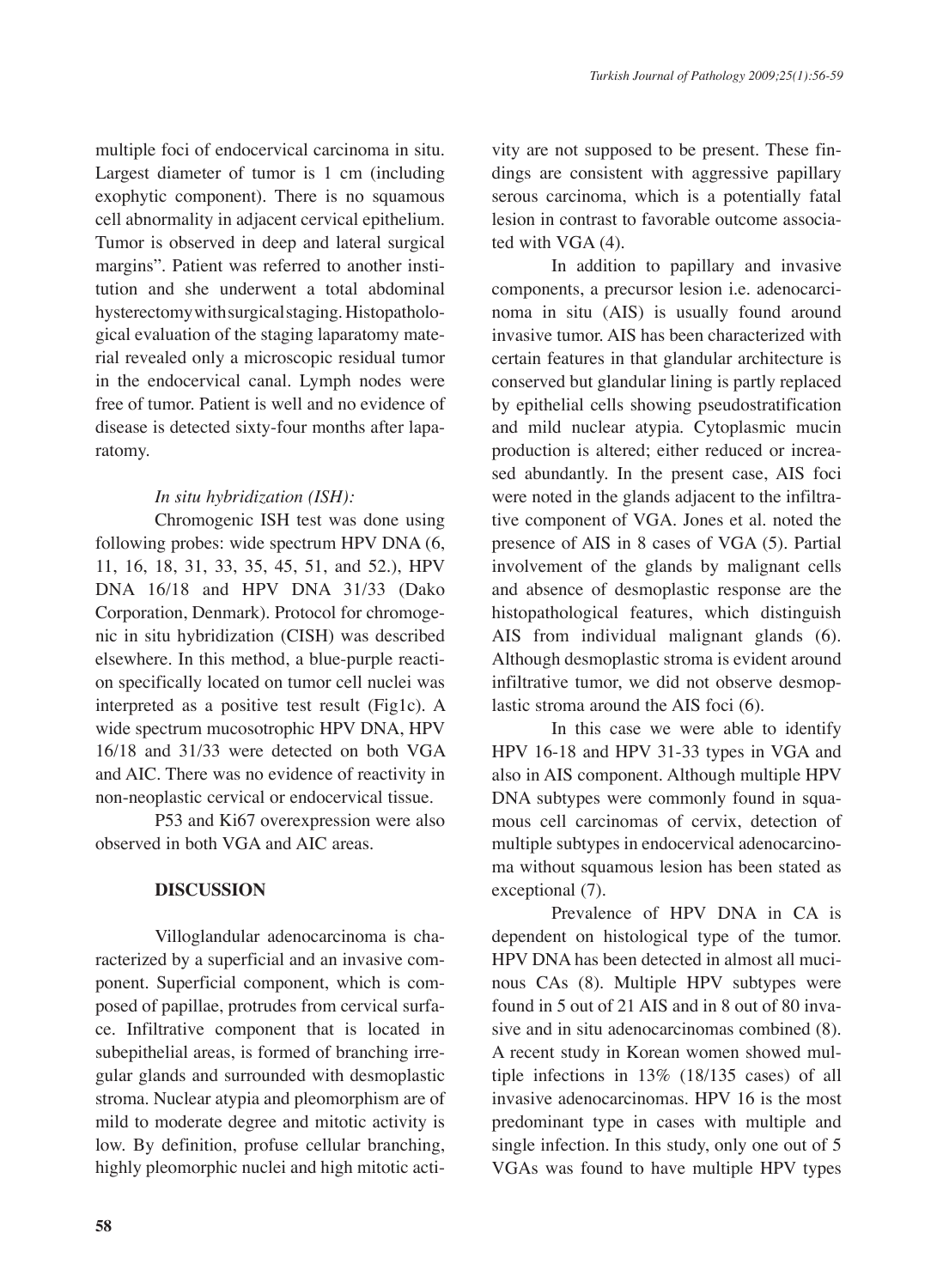multiple foci of endocervical carcinoma in situ. Largest diameter of tumor is 1 cm (including exophytic component). There is no squamous cell abnormality in adjacent cervical epithelium. Tumor is observed in deep and lateral surgical margins". Patient was referred to another institution and she underwent a total abdominal hysterectomy with surgical staging. Histopathological evaluation of the staging laparatomy material revealed only a microscopic residual tumor in the endocervical canal. Lymph nodes were free of tumor. Patient is well and no evidence of disease is detected sixty-four months after laparatomy.

## *In situ hybridization (ISH):*

Chromogenic ISH test was done using following probes: wide spectrum HPV DNA (6, 11, 16, 18, 31, 33, 35, 45, 51, and 52.), HPV DNA 16/18 and HPV DNA 31/33 (Dako Corporation, Denmark). Protocol for chromogenic in situ hybridization (CISH) was described elsewhere. In this method, a blue-purple reaction specifically located on tumor cell nuclei was interpreted as a positive test result (Fig1c). A wide spectrum mucosotrophic HPV DNA, HPV 16/18 and 31/33 were detected on both VGA and AIC. There was no evidence of reactivity in non-neoplastic cervical or endocervical tissue.

P53 and Ki67 overexpression were also observed in both VGA and AIC areas.

## **DISCUSSION**

Villoglandular adenocarcinoma is characterized by a superficial and an invasive component. Superficial component, which is composed of papillae, protrudes from cervical surface. Infiltrative component that is located in subepithelial areas, is formed of branching irregular glands and surrounded with desmoplastic stroma. Nuclear atypia and pleomorphism are of mild to moderate degree and mitotic activity is low. By definition, profuse cellular branching, highly pleomorphic nuclei and high mitotic activity are not supposed to be present. These findings are consistent with aggressive papillary serous carcinoma, which is a potentially fatal lesion in contrast to favorable outcome associated with VGA (4).

In addition to papillary and invasive components, a precursor lesion i.e. adenocarcinoma in situ (AIS) is usually found around invasive tumor. AIS has been characterized with certain features in that glandular architecture is conserved but glandular lining is partly replaced by epithelial cells showing pseudostratification and mild nuclear atypia. Cytoplasmic mucin production is altered; either reduced or increased abundantly. In the present case, AIS foci were noted in the glands adjacent to the infiltrative component of VGA. Jones et al. noted the presence of AIS in 8 cases of VGA (5). Partial involvement of the glands by malignant cells and absence of desmoplastic response are the histopathological features, which distinguish AIS from individual malignant glands (6). Although desmoplastic stroma is evident around infiltrative tumor, we did not observe desmoplastic stroma around the AIS foci (6).

In this case we were able to identify HPV 16-18 and HPV 31-33 types in VGA and also in AIS component. Although multiple HPV DNA subtypes were commonly found in squamous cell carcinomas of cervix, detection of multiple subtypes in endocervical adenocarcinoma without squamous lesion has been stated as exceptional (7).

Prevalence of HPV DNA in CA is dependent on histological type of the tumor. HPV DNA has been detected in almost all mucinous CAs (8). Multiple HPV subtypes were found in 5 out of 21 AIS and in 8 out of 80 invasive and in situ adenocarcinomas combined (8). A recent study in Korean women showed multiple infections in 13% (18/135 cases) of all invasive adenocarcinomas. HPV 16 is the most predominant type in cases with multiple and single infection. In this study, only one out of 5 VGAs was found to have multiple HPV types